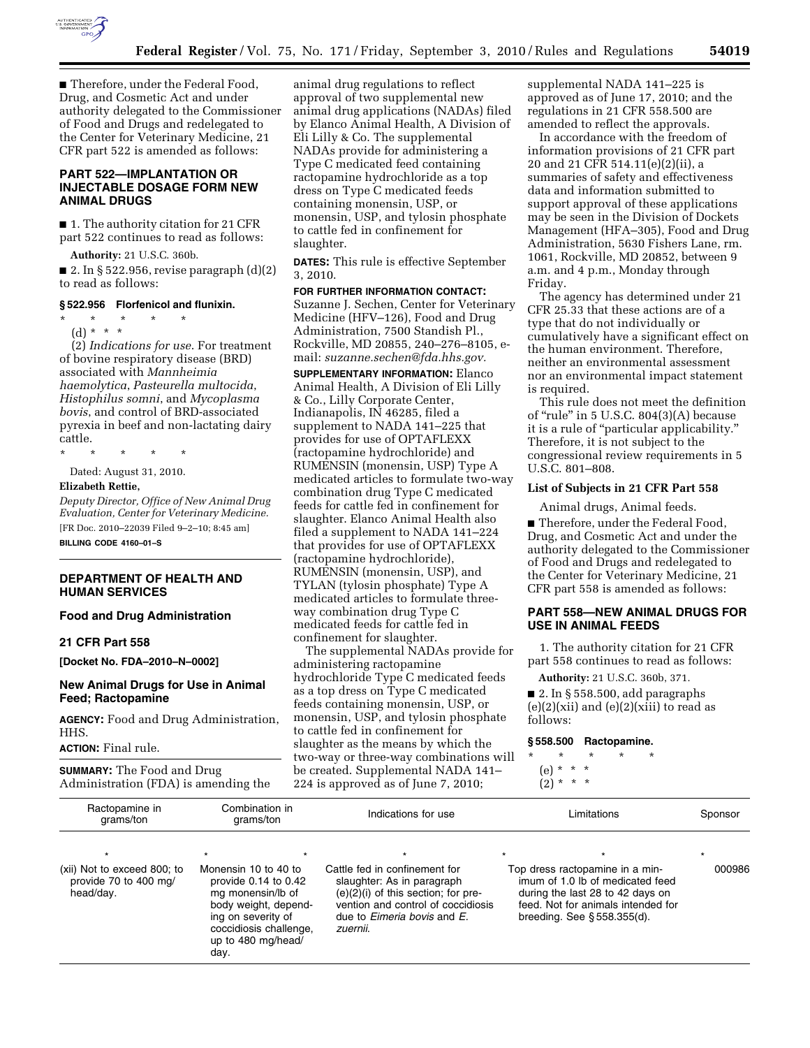

■ Therefore, under the Federal Food, Drug, and Cosmetic Act and under authority delegated to the Commissioner of Food and Drugs and redelegated to the Center for Veterinary Medicine, 21 CFR part 522 is amended as follows:

# **PART 522—IMPLANTATION OR INJECTABLE DOSAGE FORM NEW ANIMAL DRUGS**

■ 1. The authority citation for 21 CFR part 522 continues to read as follows:

**Authority:** 21 U.S.C. 360b.

■ 2. In § 522.956, revise paragraph  $(d)(2)$ to read as follows:

## **§ 522.956 Florfenicol and flunixin.**

\* \* \* \* \* (d) \* \* \*

(2) *Indications for use*. For treatment of bovine respiratory disease (BRD) associated with *Mannheimia haemolytica*, *Pasteurella multocida*, *Histophilus somni*, and *Mycoplasma bovis*, and control of BRD-associated pyrexia in beef and non-lactating dairy cattle.

\* \* \* \* \*

Dated: August 31, 2010.

## **Elizabeth Rettie,**

*Deputy Director, Office of New Animal Drug Evaluation, Center for Veterinary Medicine.*  [FR Doc. 2010–22039 Filed 9–2–10; 8:45 am]

**BILLING CODE 4160–01–S** 

#### **DEPARTMENT OF HEALTH AND HUMAN SERVICES**

#### **Food and Drug Administration**

#### **21 CFR Part 558**

**[Docket No. FDA–2010–N–0002]** 

# **New Animal Drugs for Use in Animal Feed; Ractopamine**

**AGENCY:** Food and Drug Administration, HHS.

**ACTION:** Final rule.

**SUMMARY:** The Food and Drug Administration (FDA) is amending the

animal drug regulations to reflect approval of two supplemental new animal drug applications (NADAs) filed by Elanco Animal Health, A Division of Eli Lilly & Co. The supplemental NADAs provide for administering a Type C medicated feed containing ractopamine hydrochloride as a top dress on Type C medicated feeds containing monensin, USP, or monensin, USP, and tylosin phosphate to cattle fed in confinement for slaughter.

**DATES:** This rule is effective September 3, 2010.

**FOR FURTHER INFORMATION CONTACT:**  Suzanne J. Sechen, Center for Veterinary Medicine (HFV–126), Food and Drug Administration, 7500 Standish Pl., Rockville, MD 20855, 240–276–8105, email: *[suzanne.sechen@fda.hhs.gov.](mailto:suzanne.sechen@fda.hhs.gov)* 

**SUPPLEMENTARY INFORMATION:** Elanco Animal Health, A Division of Eli Lilly & Co., Lilly Corporate Center, Indianapolis, IN 46285, filed a supplement to NADA 141–225 that provides for use of OPTAFLEXX (ractopamine hydrochloride) and RUMENSIN (monensin, USP) Type A medicated articles to formulate two-way combination drug Type C medicated feeds for cattle fed in confinement for slaughter. Elanco Animal Health also filed a supplement to NADA 141–224 that provides for use of OPTAFLEXX (ractopamine hydrochloride), RUMENSIN (monensin, USP), and TYLAN (tylosin phosphate) Type A medicated articles to formulate threeway combination drug Type C medicated feeds for cattle fed in confinement for slaughter.

The supplemental NADAs provide for administering ractopamine hydrochloride Type C medicated feeds as a top dress on Type C medicated feeds containing monensin, USP, or monensin, USP, and tylosin phosphate to cattle fed in confinement for slaughter as the means by which the two-way or three-way combinations will be created. Supplemental NADA 141– 224 is approved as of June 7, 2010;

supplemental NADA 141–225 is approved as of June 17, 2010; and the regulations in 21 CFR 558.500 are amended to reflect the approvals.

In accordance with the freedom of information provisions of 21 CFR part 20 and 21 CFR 514.11(e)(2)(ii), a summaries of safety and effectiveness data and information submitted to support approval of these applications may be seen in the Division of Dockets Management (HFA–305), Food and Drug Administration, 5630 Fishers Lane, rm. 1061, Rockville, MD 20852, between 9 a.m. and 4 p.m., Monday through Friday.

The agency has determined under 21 CFR 25.33 that these actions are of a type that do not individually or cumulatively have a significant effect on the human environment. Therefore, neither an environmental assessment nor an environmental impact statement is required.

This rule does not meet the definition of "rule" in  $5$  U.S.C.  $804(3)(A)$  because it is a rule of "particular applicability." Therefore, it is not subject to the congressional review requirements in 5 U.S.C. 801–808.

#### **List of Subjects in 21 CFR Part 558**

Animal drugs, Animal feeds. ■ Therefore, under the Federal Food, Drug, and Cosmetic Act and under the authority delegated to the Commissioner of Food and Drugs and redelegated to the Center for Veterinary Medicine, 21 CFR part 558 is amended as follows:

## **PART 558—NEW ANIMAL DRUGS FOR USE IN ANIMAL FEEDS**

1. The authority citation for 21 CFR part 558 continues to read as follows:

**Authority:** 21 U.S.C. 360b, 371. ■ 2. In § 558.500, add paragraphs  $(e)(2)(xii)$  and  $(e)(2)(xiii)$  to read as follows:

#### **§ 558.500 Ractopamine.**

\* \* \* \* \* (e) \* \* \*

 $(2) * * * *$ 

| Ractopamine in<br>grams/ton                                       | Combination in<br>grams/ton                                                                                                                         | Indications for use                                                                                                                                                 | Limitations                                                                                                                                 | Sponsor |
|-------------------------------------------------------------------|-----------------------------------------------------------------------------------------------------------------------------------------------------|---------------------------------------------------------------------------------------------------------------------------------------------------------------------|---------------------------------------------------------------------------------------------------------------------------------------------|---------|
| (xii) Not to exceed 800; to<br>provide 70 to 400 mg/<br>head/day. | Monensin 10 to 40 to                                                                                                                                | Cattle fed in confinement for                                                                                                                                       | Top dress ractopamine in a min-                                                                                                             | 000986  |
|                                                                   | provide $0.14$ to $0.42$<br>mg monensin/lb of<br>body weight, depend-<br>ing on severity of<br>coccidiosis challenge,<br>up to 480 mg/head/<br>day. | slaughter: As in paragraph<br>$(e)(2)(i)$ of this section; for pre-<br>vention and control of coccidiosis<br>due to <i>Eimeria bovis</i> and <i>E</i> .<br>zuernii. | imum of 1.0 lb of medicated feed<br>during the last 28 to 42 days on<br>feed. Not for animals intended for<br>breeding. See $§$ 558.355(d). |         |